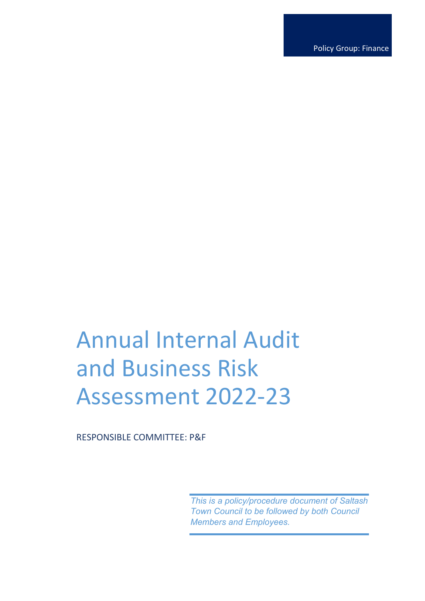Policy Group: Finance

# Annual Internal Audit and Business Risk Assessment 2022-23

RESPONSIBLE COMMITTEE: P&F

*This is a policy/procedure document of Saltash Town Council to be followed by both Council Members and Employees.*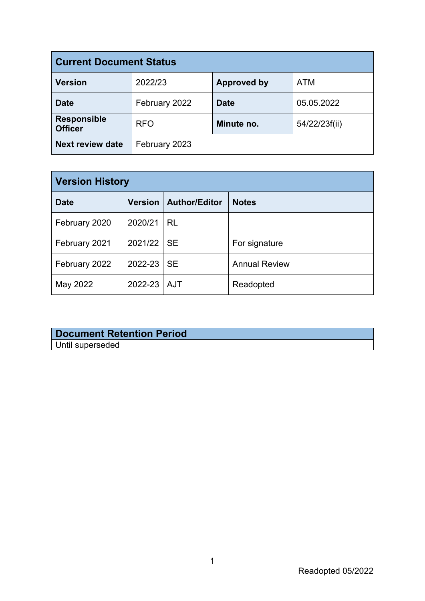| <b>Current Document Status</b>       |               |                    |               |  |
|--------------------------------------|---------------|--------------------|---------------|--|
| <b>Version</b>                       | 2022/23       | <b>Approved by</b> | <b>ATM</b>    |  |
| <b>Date</b>                          | February 2022 | <b>Date</b>        | 05.05.2022    |  |
| <b>Responsible</b><br><b>Officer</b> | <b>RFO</b>    | Minute no.         | 54/22/23f(ii) |  |
| <b>Next review date</b>              | February 2023 |                    |               |  |

| <b>Version History</b> |               |                                |                      |  |
|------------------------|---------------|--------------------------------|----------------------|--|
| <b>Date</b>            |               | <b>Version   Author/Editor</b> | <b>Notes</b>         |  |
| February 2020          | 2020/21       | <b>RL</b>                      |                      |  |
| February 2021          | 2021/22 SE    |                                | For signature        |  |
| February 2022          | 2022-23       | <b>SE</b>                      | <b>Annual Review</b> |  |
| May 2022               | 2022-23   AJT |                                | Readopted            |  |

#### **Document Retention Period** Until superseded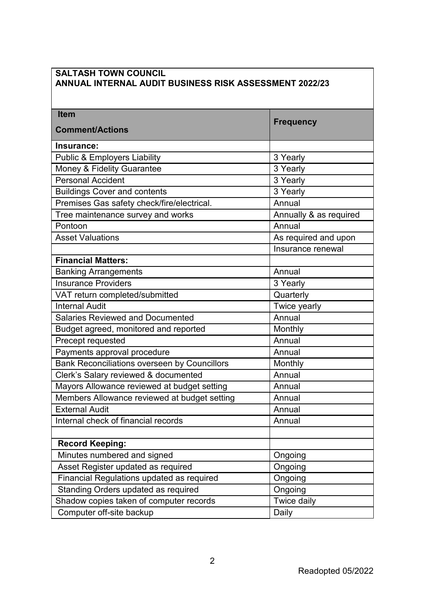| <b>ANNUAL INTERNAL AUDIT BUSINESS RISK ASSESSMENT 2022/23</b> |                        |  |  |  |
|---------------------------------------------------------------|------------------------|--|--|--|
| <b>Item</b>                                                   |                        |  |  |  |
| <b>Comment/Actions</b>                                        | <b>Frequency</b>       |  |  |  |
| Insurance:                                                    |                        |  |  |  |
| <b>Public &amp; Employers Liability</b>                       | 3 Yearly               |  |  |  |
| Money & Fidelity Guarantee                                    | 3 Yearly               |  |  |  |
| <b>Personal Accident</b>                                      | 3 Yearly               |  |  |  |
| <b>Buildings Cover and contents</b>                           | 3 Yearly               |  |  |  |
| Premises Gas safety check/fire/electrical.                    | Annual                 |  |  |  |
| Tree maintenance survey and works                             | Annually & as required |  |  |  |
| Pontoon                                                       | Annual                 |  |  |  |
| <b>Asset Valuations</b>                                       | As required and upon   |  |  |  |
|                                                               | Insurance renewal      |  |  |  |
| <b>Financial Matters:</b>                                     |                        |  |  |  |
| <b>Banking Arrangements</b>                                   | Annual                 |  |  |  |
| <b>Insurance Providers</b>                                    | 3 Yearly               |  |  |  |
| VAT return completed/submitted                                | Quarterly              |  |  |  |
| <b>Internal Audit</b>                                         | Twice yearly           |  |  |  |
| <b>Salaries Reviewed and Documented</b>                       | Annual                 |  |  |  |
| Budget agreed, monitored and reported                         | Monthly                |  |  |  |
| Precept requested                                             | Annual                 |  |  |  |
| Payments approval procedure                                   | Annual                 |  |  |  |
| <b>Bank Reconciliations overseen by Councillors</b>           | Monthly                |  |  |  |
| Clerk's Salary reviewed & documented                          | Annual                 |  |  |  |
| Mayors Allowance reviewed at budget setting                   | Annual                 |  |  |  |
| Members Allowance reviewed at budget setting                  | Annual                 |  |  |  |
| <b>External Audit</b>                                         | Annual                 |  |  |  |
| Internal check of financial records                           | Annual                 |  |  |  |
|                                                               |                        |  |  |  |
| <b>Record Keeping:</b>                                        |                        |  |  |  |
| Minutes numbered and signed                                   | Ongoing                |  |  |  |
| Asset Register updated as required                            | Ongoing                |  |  |  |
| Financial Regulations updated as required                     | Ongoing                |  |  |  |
| Standing Orders updated as required                           | Ongoing                |  |  |  |
| Shadow copies taken of computer records                       | Twice daily            |  |  |  |
| Computer off-site backup                                      | Daily                  |  |  |  |

## **SALTASH TOWN COUNCIL**